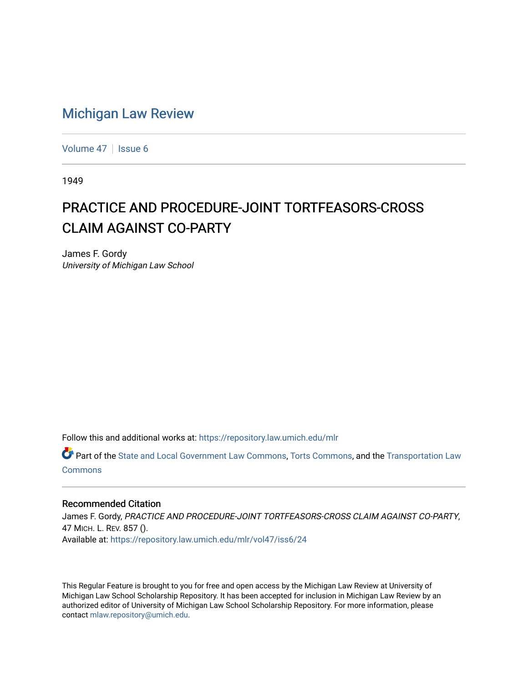## [Michigan Law Review](https://repository.law.umich.edu/mlr)

[Volume 47](https://repository.law.umich.edu/mlr/vol47) | [Issue 6](https://repository.law.umich.edu/mlr/vol47/iss6)

1949

## PRACTICE AND PROCEDURE-JOINT TORTFEASORS-CROSS **CLAIM AGAINST CO-PARTY**

James F. Gordy University of Michigan Law School

Follow this and additional works at: [https://repository.law.umich.edu/mlr](https://repository.law.umich.edu/mlr?utm_source=repository.law.umich.edu%2Fmlr%2Fvol47%2Fiss6%2F24&utm_medium=PDF&utm_campaign=PDFCoverPages) 

Part of the [State and Local Government Law Commons](http://network.bepress.com/hgg/discipline/879?utm_source=repository.law.umich.edu%2Fmlr%2Fvol47%2Fiss6%2F24&utm_medium=PDF&utm_campaign=PDFCoverPages), [Torts Commons,](http://network.bepress.com/hgg/discipline/913?utm_source=repository.law.umich.edu%2Fmlr%2Fvol47%2Fiss6%2F24&utm_medium=PDF&utm_campaign=PDFCoverPages) and the Transportation Law [Commons](http://network.bepress.com/hgg/discipline/885?utm_source=repository.law.umich.edu%2Fmlr%2Fvol47%2Fiss6%2F24&utm_medium=PDF&utm_campaign=PDFCoverPages)

## Recommended Citation

James F. Gordy, PRACTICE AND PROCEDURE-JOINT TORTFEASORS-CROSS CLAIM AGAINST CO-PARTY, 47 MICH. L. REV. 857 (). Available at: [https://repository.law.umich.edu/mlr/vol47/iss6/24](https://repository.law.umich.edu/mlr/vol47/iss6/24?utm_source=repository.law.umich.edu%2Fmlr%2Fvol47%2Fiss6%2F24&utm_medium=PDF&utm_campaign=PDFCoverPages) 

This Regular Feature is brought to you for free and open access by the Michigan Law Review at University of Michigan Law School Scholarship Repository. It has been accepted for inclusion in Michigan Law Review by an authorized editor of University of Michigan Law School Scholarship Repository. For more information, please contact [mlaw.repository@umich.edu](mailto:mlaw.repository@umich.edu).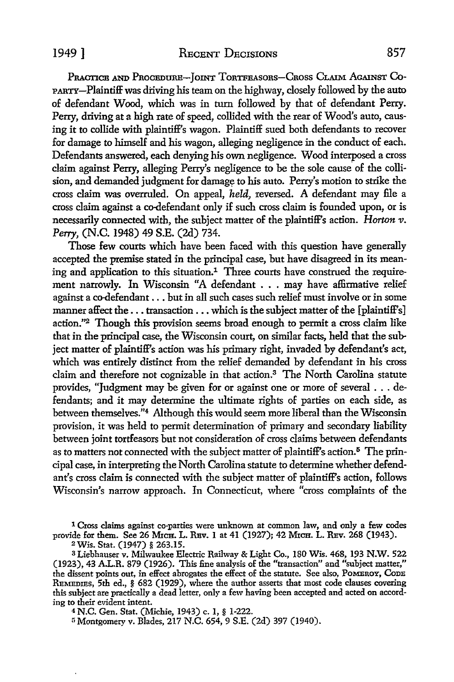1949 ] **RECENT DECISIONS** 857

PRACTICE AND PROCEDURE-JOINT TORTFEASORS-CROSS CLAIM AGAINST CO-PARTY-Plaintiff was driving his team on the highway, closely followed by the auto of defendant Wood, which was in turn followed by that of defendant Perry. Perry, driving at a high rate of speed, collided with the rear of Wood's auto, causing it to collide with plaintiff's wagon. Plaintiff sued both defendants to recover for damage to himself and his wagon, alleging negligence in the conduct of each. Defendants answered, each denying his own negligence. Wood interposed a cross claim against Perry, alleging Perry's negligence to be the sole cause of the collision, and demanded judgment for damage to his auto. Perry's motion to strike the cross claim was overruled. On appeal, *held,* reversed. A defendant may file a cross claim against a co-defendant only if such cross claim is founded upon, or is necessarily connected with, the subject matter of the plaintiff's action. *Horton v. Perry,* **(N.C.** 1948) 49 **S.E.** (2d) 734.

Those few courts which have been faced with this question have generally accepted the premise stated in the principal case, but have disagreed in its meaning and application to this situation.<sup>1</sup> Three courts have construed the requirement narrowly. In Wisconsin "A defendant . **.** . may have affirmative relief against a co-defendant... but in all such cases such relief must involve or in some manner affect the... transaction... which is the subject matter of the [plaintiff's] action."2 Though this provision seems broad enough to permit a cross claim like that in the principal case, the Wisconsin court, on similar facts, held that the subject matter of plaintiff's action was his primary right, invaded by defendant's act, which was entirely distinct from the relief demanded by defendant in his cross claim and therefore not cognizable in that action.3 The North Carolina statute provides, "Judgment may be given for or against one or more of several . **..** defendants; and it may determine the ultimate rights of parties on each side, as between themselves."4 Although this would seem more liberal than the Wisconsin provision, it was held to permit determination of primary and secondary liability between joint tortfeasors but not consideration of cross claims between defendants as to matters not connected with the subject matter of plaintiff's action.<sup>5</sup> The principal case, in interpreting the North Carolina statute to determine whether defendant's cross claim is connected with the subject matter of plaintiff's action, follows Wisconsin's narrow approach. In Connecticut, where "cross complaints of the

**I** Cross claims against co-parties were unknown at common law, and only a few codes provide for them. See 26 MICH. L. REV. 1 at 41 (1927); 42 MICH. L. REV. 268 (1943). <sup>2</sup> Wis. Stat. (1947) § 263.15.

**<sup>3</sup>**Liebbauser v. Milwaukee Electric Railway & Light Co., 180 Wis. 468, **193** N.W. **522** (1923), 43 A.L.R. 879 (1926). This fine analysis of the "transaction" and "subject matter," the dissent points out, in effect abrogates the effect of the statute. See also, POMEROY, CODE REMEDIES, 5th ed., § 682 (1929), where the author asserts that most code clauses covering this subject are practically a dead letter, only a few having been accepted and acted on according to their evident intent.

4 **N.C.** Gen. Stat. (Michie, 1943) c. 1, § 1-222.

<sup>5</sup> Montgomery v. Blades, 217 N.C. 654, 9 S.E. (2d) 397 (1940).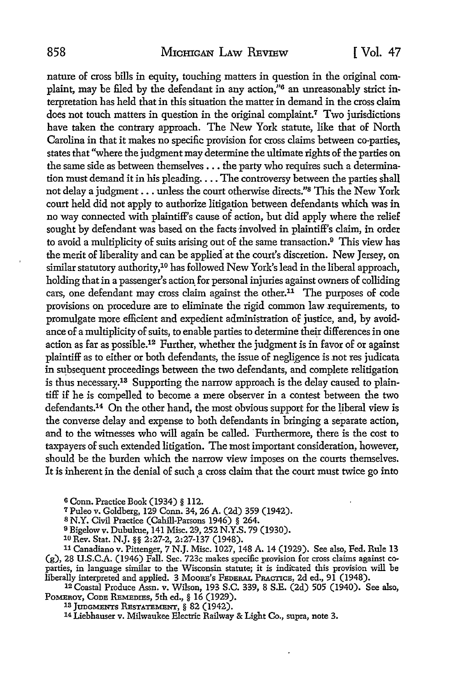nature of cross bills in equity, touching matters in question in the original complaint, may be filed by the defendant in any action,"<sup>6</sup> an unreasonably strict interpretation has held that in this situation the matter in demand in the cross claim does not touch matters in question in the original complaint.<sup>7</sup> Two jurisdictions have taken the contrary approach. The New York statute, like that of North Carolina in that it makes no specific provision for cross claims between co-parties, states that "where the judgment may determine the ultimate rights of the parties on the same side as between themselves... the party who requires such a determination must demand it in his pleading.... The controversy between the parties shall not delay a judgment... unless the court otherwise directs."s This the New York court held did not apply to authorize litigation between defendants which was in no way connected with plaintiff's cause of action, but did apply where the relief sought by defendant was based on the facts involved in plaintiff's claim, in order to avoid a multiplicity of suits arising out of the same transaction.9 This view has the merit of liberality and can be applied at the court's discretion. New Jersey, on similar statutory authority,<sup>10</sup> has followed New York's lead in the liberal approach, holding that in a passenger's action for personal injuries against owners of colliding cars, one defendant may cross claim against the other.<sup>11</sup> The purposes of code provisions on procedure are to eliminate the rigid common law requirements, to promulgate more efficient and expedient administration of justice, and, by avoidance of a multiplicity of suits, to enable parties to determine their differences in one action as far as possible.12 Further, whether the judgment is in favor of or against plaintiff as to either or both defendants, the issue of negligence is not res judicata in subsequent proceedings between the two defendants, and complete relitigation is thus necessary.<sup>13</sup> Supporting the narrow approach is the delay caused to plaintiff if he is compelled to become a mere observer in a contest between the two defendants. 14 On the other hand, the most obvious support for the liberal view is the converse delay and expense to both defendants in bringing a separate action, and to the witnesses who will again be called. Furthermore, there is the cost to taxpayers of such extended litigation. The most important consideration, however, should be the burden which the narrow view imposes on the courts themselves. It is inherent in the denial of such a cross claim that the court must twice go into

**6** Conn. Practice Book (1934) **§** 112.

**<sup>7</sup>**Puleo v. Goldberg, 129 Conn. 34, 26 A. (2d) 359 (1942). **<sup>8</sup>**N.Y. Civil Practice (Cahill-Parsons 1946) **§** 264.

**<sup>9</sup>**Bigelow v. Dubukue, 141 Misc. 29, 252 N.Y.S. 79 (1930).

**<sup>10</sup>**Rev. Stat. NJ. **§§** 2:27-2, 2:27-137 (1948). 11 Canadiano v. Pittenger, 7 N.J. Misc. 1027, 148 A. 14 (1929). See also, Fed. Rule 13 (g), 28 U.S.C.A. (1946) Fall. Sec. 723c makes specific provision for cross claims against co- parties, in language similar to the Wisconsin statute; it is indicated this provision will be liberally interpreted and applied. 3 Moos'S **FEDERAL PRAcTICE,** 2d ed., 91 (1948).

**12** Coastal Produce Assn. v. Wilson, 193 S.C. 339, 8 S.E. (2d) 505 (1940). See also, POMEROY, **CODE REMEDIEs,** 5th ed., **§** 16 (1929). **18 JuGMENTREs sTATEmNT, §** 82 (1942). <sup>14</sup> Liehhauser v. Milwaukee Electric Railway & Light Co., supra, note 3.